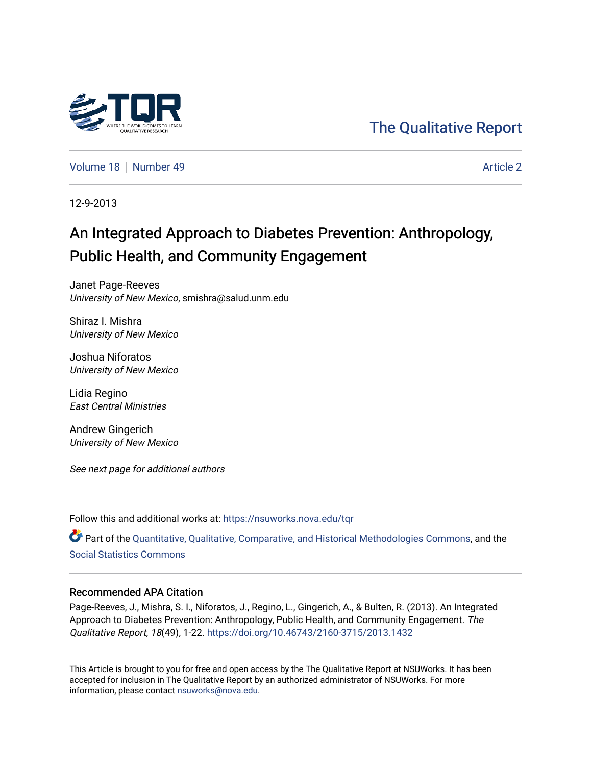

[The Qualitative Report](https://nsuworks.nova.edu/tqr) 

[Volume 18](https://nsuworks.nova.edu/tqr/vol18) [Number 49](https://nsuworks.nova.edu/tqr/vol18/iss49) Article 2

12-9-2013

# An Integrated Approach to Diabetes Prevention: Anthropology, Public Health, and Community Engagement

Janet Page-Reeves University of New Mexico, smishra@salud.unm.edu

Shiraz I. Mishra University of New Mexico

Joshua Niforatos University of New Mexico

Lidia Regino East Central Ministries

Andrew Gingerich University of New Mexico

See next page for additional authors

Follow this and additional works at: [https://nsuworks.nova.edu/tqr](https://nsuworks.nova.edu/tqr?utm_source=nsuworks.nova.edu%2Ftqr%2Fvol18%2Fiss49%2F2&utm_medium=PDF&utm_campaign=PDFCoverPages) 

Part of the [Quantitative, Qualitative, Comparative, and Historical Methodologies Commons,](http://network.bepress.com/hgg/discipline/423?utm_source=nsuworks.nova.edu%2Ftqr%2Fvol18%2Fiss49%2F2&utm_medium=PDF&utm_campaign=PDFCoverPages) and the [Social Statistics Commons](http://network.bepress.com/hgg/discipline/1275?utm_source=nsuworks.nova.edu%2Ftqr%2Fvol18%2Fiss49%2F2&utm_medium=PDF&utm_campaign=PDFCoverPages) 

# Recommended APA Citation

Page-Reeves, J., Mishra, S. I., Niforatos, J., Regino, L., Gingerich, A., & Bulten, R. (2013). An Integrated Approach to Diabetes Prevention: Anthropology, Public Health, and Community Engagement. The Qualitative Report, 18(49), 1-22.<https://doi.org/10.46743/2160-3715/2013.1432>

This Article is brought to you for free and open access by the The Qualitative Report at NSUWorks. It has been accepted for inclusion in The Qualitative Report by an authorized administrator of NSUWorks. For more information, please contact [nsuworks@nova.edu.](mailto:nsuworks@nova.edu)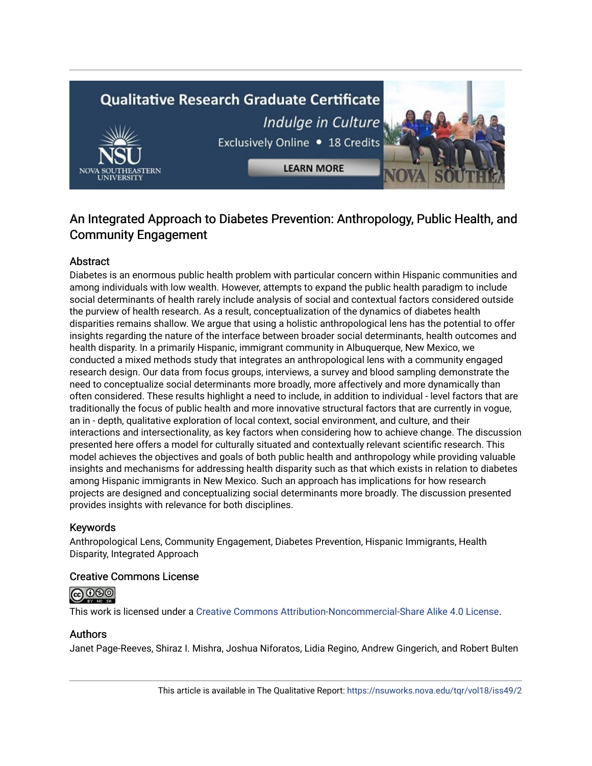# **Qualitative Research Graduate Certificate** Indulge in Culture Exclusively Online . 18 Credits **LEARN MORE**

# An Integrated Approach to Diabetes Prevention: Anthropology, Public Health, and Community Engagement

# Abstract

Diabetes is an enormous public health problem with particular concern within Hispanic communities and among individuals with low wealth. However, attempts to expand the public health paradigm to include social determinants of health rarely include analysis of social and contextual factors considered outside the purview of health research. As a result, conceptualization of the dynamics of diabetes health disparities remains shallow. We argue that using a holistic anthropological lens has the potential to offer insights regarding the nature of the interface between broader social determinants, health outcomes and health disparity. In a primarily Hispanic, immigrant community in Albuquerque, New Mexico, we conducted a mixed methods study that integrates an anthropological lens with a community engaged research design. Our data from focus groups, interviews, a survey and blood sampling demonstrate the need to conceptualize social determinants more broadly, more affectively and more dynamically than often considered. These results highlight a need to include, in addition to individual - level factors that are traditionally the focus of public health and more innovative structural factors that are currently in vogue, an in - depth, qualitative exploration of local context, social environment, and culture, and their interactions and intersectionality, as key factors when considering how to achieve change. The discussion presented here offers a model for culturally situated and contextually relevant scientific research. This model achieves the objectives and goals of both public health and anthropology while providing valuable insights and mechanisms for addressing health disparity such as that which exists in relation to diabetes among Hispanic immigrants in New Mexico. Such an approach has implications for how research projects are designed and conceptualizing social determinants more broadly. The discussion presented provides insights with relevance for both disciplines.

# Keywords

Anthropological Lens, Community Engagement, Diabetes Prevention, Hispanic Immigrants, Health Disparity, Integrated Approach

# Creative Commons License



This work is licensed under a [Creative Commons Attribution-Noncommercial-Share Alike 4.0 License](https://creativecommons.org/licenses/by-nc-sa/4.0/).

# Authors

Janet Page-Reeves, Shiraz I. Mishra, Joshua Niforatos, Lidia Regino, Andrew Gingerich, and Robert Bulten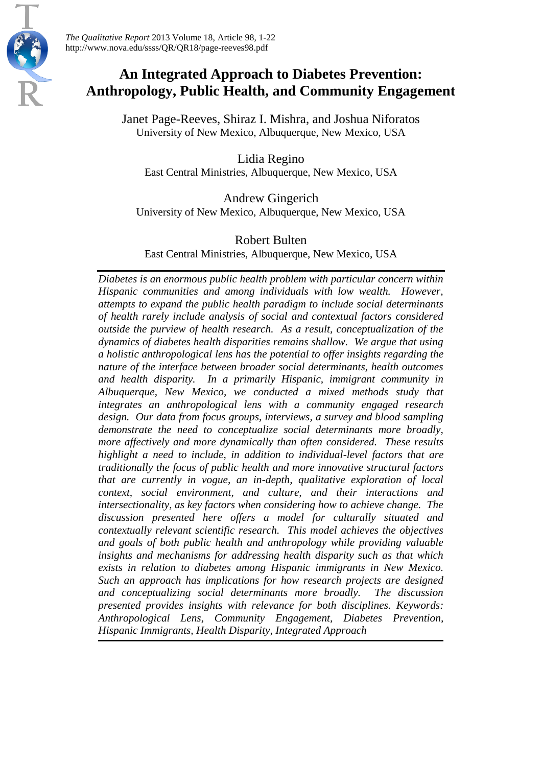

*The Qualitative Report* 2013 Volume 18, Article 98, 1-22 http://www.nova.edu/ssss/QR/QR18/page-reeves98.pdf

# **An Integrated Approach to Diabetes Prevention: Anthropology, Public Health, and Community Engagement**

Janet Page-Reeves, Shiraz I. Mishra, and Joshua Niforatos University of New Mexico, Albuquerque, New Mexico, USA

Lidia Regino East Central Ministries, Albuquerque, New Mexico, USA

Andrew Gingerich University of New Mexico, Albuquerque, New Mexico, USA

# Robert Bulten

East Central Ministries, Albuquerque, New Mexico, USA

*Diabetes is an enormous public health problem with particular concern within Hispanic communities and among individuals with low wealth. However, attempts to expand the public health paradigm to include social determinants of health rarely include analysis of social and contextual factors considered outside the purview of health research. As a result, conceptualization of the dynamics of diabetes health disparities remains shallow. We argue that using a holistic anthropological lens has the potential to offer insights regarding the nature of the interface between broader social determinants, health outcomes and health disparity. In a primarily Hispanic, immigrant community in Albuquerque, New Mexico, we conducted a mixed methods study that integrates an anthropological lens with a community engaged research design. Our data from focus groups, interviews, a survey and blood sampling demonstrate the need to conceptualize social determinants more broadly, more affectively and more dynamically than often considered. These results highlight a need to include, in addition to individual-level factors that are traditionally the focus of public health and more innovative structural factors that are currently in vogue, an in-depth, qualitative exploration of local context, social environment, and culture, and their interactions and intersectionality, as key factors when considering how to achieve change. The discussion presented here offers a model for culturally situated and contextually relevant scientific research. This model achieves the objectives and goals of both public health and anthropology while providing valuable insights and mechanisms for addressing health disparity such as that which exists in relation to diabetes among Hispanic immigrants in New Mexico. Such an approach has implications for how research projects are designed and conceptualizing social determinants more broadly. The discussion presented provides insights with relevance for both disciplines. Keywords: Anthropological Lens, Community Engagement, Diabetes Prevention, Hispanic Immigrants, Health Disparity, Integrated Approach*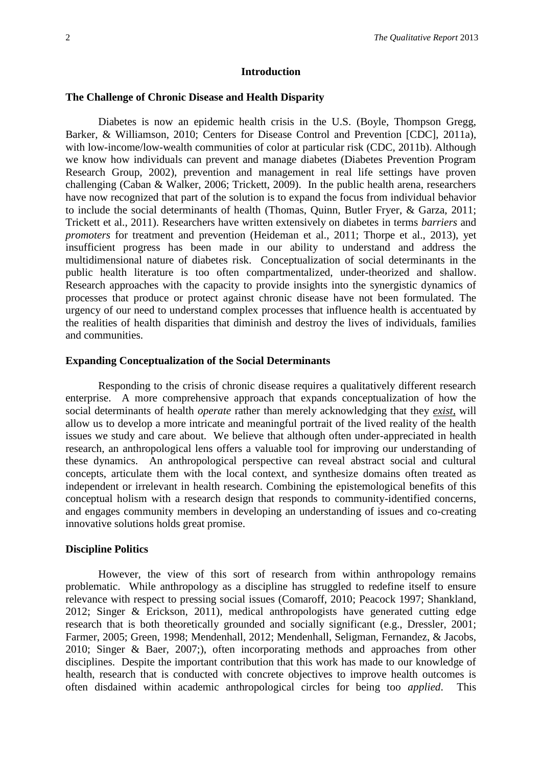#### **Introduction**

#### **The Challenge of Chronic Disease and Health Disparity**

Diabetes is now an epidemic health crisis in the U.S. (Boyle, Thompson Gregg, Barker, & Williamson, 2010; Centers for Disease Control and Prevention [CDC], 2011a), with low-income/low-wealth communities of color at particular risk (CDC, 2011b). Although we know how individuals can prevent and manage diabetes (Diabetes Prevention Program Research Group, 2002), prevention and management in real life settings have proven challenging (Caban & Walker, 2006; Trickett, 2009). In the public health arena, researchers have now recognized that part of the solution is to expand the focus from individual behavior to include the social determinants of health (Thomas, Quinn, Butler Fryer, & Garza, 2011; Trickett et al., 2011). Researchers have written extensively on diabetes in terms *barriers* and *promoters* for treatment and prevention (Heideman et al., 2011; Thorpe et al., 2013), yet insufficient progress has been made in our ability to understand and address the multidimensional nature of diabetes risk. Conceptualization of social determinants in the public health literature is too often compartmentalized, under-theorized and shallow. Research approaches with the capacity to provide insights into the synergistic dynamics of processes that produce or protect against chronic disease have not been formulated. The urgency of our need to understand complex processes that influence health is accentuated by the realities of health disparities that diminish and destroy the lives of individuals, families and communities.

#### **Expanding Conceptualization of the Social Determinants**

Responding to the crisis of chronic disease requires a qualitatively different research enterprise. A more comprehensive approach that expands conceptualization of how the social determinants of health *operate* rather than merely acknowledging that they *exist,* will allow us to develop a more intricate and meaningful portrait of the lived reality of the health issues we study and care about. We believe that although often under-appreciated in health research, an anthropological lens offers a valuable tool for improving our understanding of these dynamics. An anthropological perspective can reveal abstract social and cultural concepts, articulate them with the local context, and synthesize domains often treated as independent or irrelevant in health research. Combining the epistemological benefits of this conceptual holism with a research design that responds to community-identified concerns, and engages community members in developing an understanding of issues and co-creating innovative solutions holds great promise.

#### **Discipline Politics**

However, the view of this sort of research from within anthropology remains problematic. While anthropology as a discipline has struggled to redefine itself to ensure relevance with respect to pressing social issues (Comaroff, 2010; Peacock 1997; Shankland, 2012; Singer & Erickson, 2011), medical anthropologists have generated cutting edge research that is both theoretically grounded and socially significant (e.g., Dressler, 2001; Farmer, 2005; Green, 1998; Mendenhall, 2012; Mendenhall, Seligman, Fernandez, & Jacobs, 2010; Singer & Baer, 2007;), often incorporating methods and approaches from other disciplines. Despite the important contribution that this work has made to our knowledge of health, research that is conducted with concrete objectives to improve health outcomes is often disdained within academic anthropological circles for being too *applied*. This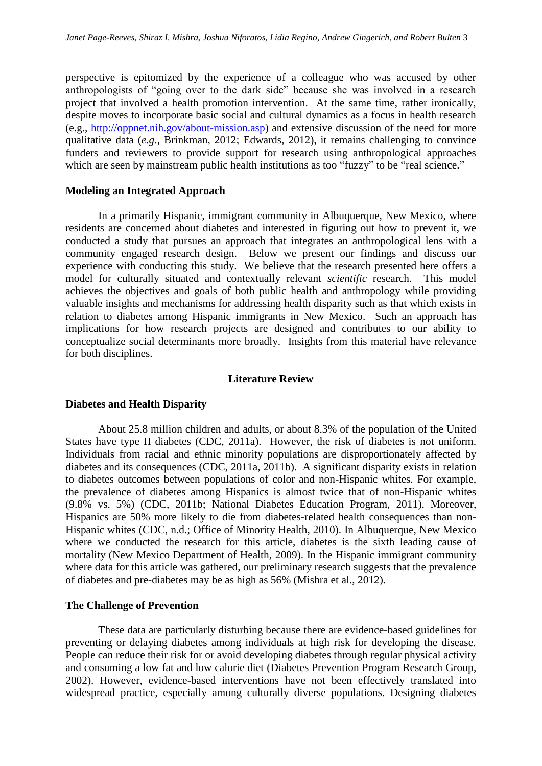perspective is epitomized by the experience of a colleague who was accused by other anthropologists of "going over to the dark side" because she was involved in a research project that involved a health promotion intervention. At the same time, rather ironically, despite moves to incorporate basic social and cultural dynamics as a focus in health research (e.g., [http://oppnet.nih.gov/about-mission.asp\)](http://oppnet.nih.gov/about-mission.asp) and extensive discussion of the need for more qualitative data (*e.g.,* Brinkman, 2012; Edwards, 2012), it remains challenging to convince funders and reviewers to provide support for research using anthropological approaches which are seen by mainstream public health institutions as too "fuzzy" to be "real science."

# **Modeling an Integrated Approach**

In a primarily Hispanic, immigrant community in Albuquerque, New Mexico, where residents are concerned about diabetes and interested in figuring out how to prevent it, we conducted a study that pursues an approach that integrates an anthropological lens with a community engaged research design. Below we present our findings and discuss our experience with conducting this study. We believe that the research presented here offers a model for culturally situated and contextually relevant *scientific* research. This model achieves the objectives and goals of both public health and anthropology while providing valuable insights and mechanisms for addressing health disparity such as that which exists in relation to diabetes among Hispanic immigrants in New Mexico. Such an approach has implications for how research projects are designed and contributes to our ability to conceptualize social determinants more broadly. Insights from this material have relevance for both disciplines.

#### **Literature Review**

#### **Diabetes and Health Disparity**

About 25.8 million children and adults, or about 8.3% of the population of the United States have type II diabetes (CDC, 2011a). However, the risk of diabetes is not uniform. Individuals from racial and ethnic minority populations are disproportionately affected by diabetes and its consequences (CDC, 2011a, 2011b). A significant disparity exists in relation to diabetes outcomes between populations of color and non-Hispanic whites. For example, the prevalence of diabetes among Hispanics is almost twice that of non-Hispanic whites (9.8% vs. 5%) (CDC, 2011b; National Diabetes Education Program, 2011). Moreover, Hispanics are 50% more likely to die from diabetes-related health consequences than non-Hispanic whites (CDC, n.d.; Office of Minority Health, 2010). In Albuquerque, New Mexico where we conducted the research for this article, diabetes is the sixth leading cause of mortality (New Mexico Department of Health, 2009). In the Hispanic immigrant community where data for this article was gathered, our preliminary research suggests that the prevalence of diabetes and pre-diabetes may be as high as 56% (Mishra et al., 2012).

#### **The Challenge of Prevention**

These data are particularly disturbing because there are evidence-based guidelines for preventing or delaying diabetes among individuals at high risk for developing the disease. People can reduce their risk for or avoid developing diabetes through regular physical activity and consuming a low fat and low calorie diet (Diabetes Prevention Program Research Group, 2002). However, evidence-based interventions have not been effectively translated into widespread practice, especially among culturally diverse populations. Designing diabetes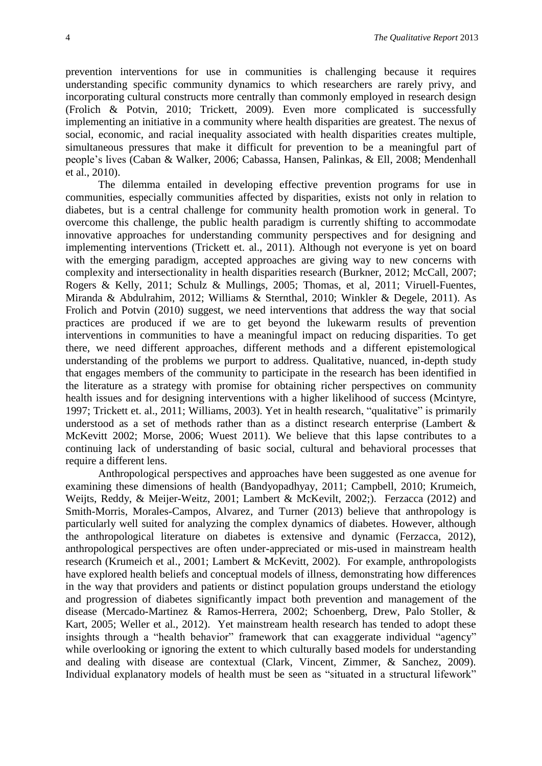prevention interventions for use in communities is challenging because it requires understanding specific community dynamics to which researchers are rarely privy, and incorporating cultural constructs more centrally than commonly employed in research design (Frolich & Potvin, 2010; Trickett, 2009). Even more complicated is successfully implementing an initiative in a community where health disparities are greatest. The nexus of social, economic, and racial inequality associated with health disparities creates multiple, simultaneous pressures that make it difficult for prevention to be a meaningful part of people's lives (Caban & Walker, 2006; Cabassa, Hansen, Palinkas, & Ell, 2008; Mendenhall et al., 2010).

The dilemma entailed in developing effective prevention programs for use in communities, especially communities affected by disparities, exists not only in relation to diabetes, but is a central challenge for community health promotion work in general. To overcome this challenge, the public health paradigm is currently shifting to accommodate innovative approaches for understanding community perspectives and for designing and implementing interventions (Trickett et. al., 2011). Although not everyone is yet on board with the emerging paradigm, accepted approaches are giving way to new concerns with complexity and intersectionality in health disparities research (Burkner, 2012; McCall, 2007; Rogers & Kelly, 2011; Schulz & Mullings, 2005; Thomas, et al, 2011; Viruell-Fuentes, Miranda & Abdulrahim, 2012; Williams & Sternthal, 2010; Winkler & Degele, 2011). As Frolich and Potvin (2010) suggest, we need interventions that address the way that social practices are produced if we are to get beyond the lukewarm results of prevention interventions in communities to have a meaningful impact on reducing disparities. To get there, we need different approaches, different methods and a different epistemological understanding of the problems we purport to address. Qualitative, nuanced, in-depth study that engages members of the community to participate in the research has been identified in the literature as a strategy with promise for obtaining richer perspectives on community health issues and for designing interventions with a higher likelihood of success (Mcintyre, 1997; Trickett et. al., 2011; Williams, 2003). Yet in health research, "qualitative" is primarily understood as a set of methods rather than as a distinct research enterprise (Lambert & McKevitt 2002; Morse, 2006; Wuest 2011). We believe that this lapse contributes to a continuing lack of understanding of basic social, cultural and behavioral processes that require a different lens.

Anthropological perspectives and approaches have been suggested as one avenue for examining these dimensions of health (Bandyopadhyay, 2011; Campbell, 2010; Krumeich, Weijts, Reddy, & Meijer-Weitz, 2001; Lambert & McKevilt, 2002;). Ferzacca (2012) and Smith-Morris, Morales-Campos, Alvarez, and Turner (2013) believe that anthropology is particularly well suited for analyzing the complex dynamics of diabetes. However, although the anthropological literature on diabetes is extensive and dynamic (Ferzacca, 2012), anthropological perspectives are often under-appreciated or mis-used in mainstream health research (Krumeich et al., 2001; Lambert & McKevitt, 2002). For example, anthropologists have explored health beliefs and conceptual models of illness, demonstrating how differences in the way that providers and patients or distinct population groups understand the etiology and progression of diabetes significantly impact both prevention and management of the disease (Mercado-Martinez & Ramos-Herrera, 2002; Schoenberg, Drew, Palo Stoller, & Kart, 2005; Weller et al., 2012). Yet mainstream health research has tended to adopt these insights through a "health behavior" framework that can exaggerate individual "agency" while overlooking or ignoring the extent to which culturally based models for understanding and dealing with disease are contextual (Clark, Vincent, Zimmer, & Sanchez, 2009). Individual explanatory models of health must be seen as "situated in a structural lifework"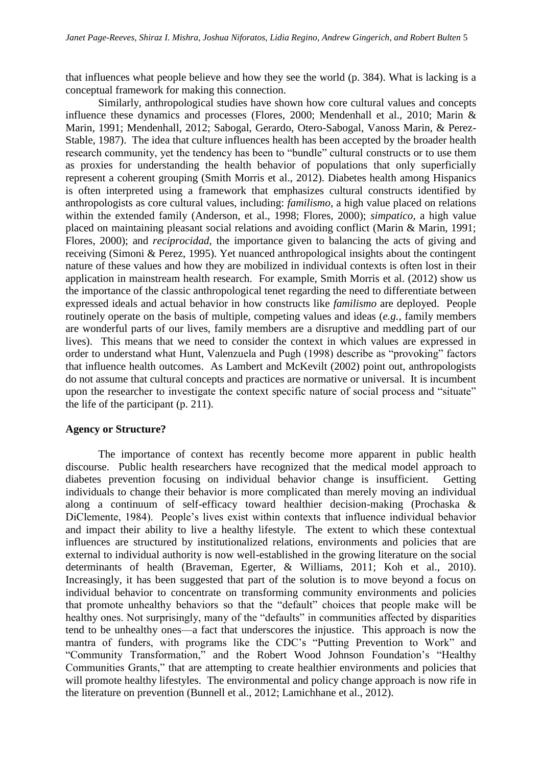that influences what people believe and how they see the world (p. 384). What is lacking is a conceptual framework for making this connection.

Similarly, anthropological studies have shown how core cultural values and concepts influence these dynamics and processes (Flores, 2000; Mendenhall et al., 2010; Marin & Marin, 1991; Mendenhall, 2012; Sabogal, Gerardo, Otero-Sabogal, Vanoss Marin, & Perez-Stable, 1987). The idea that culture influences health has been accepted by the broader health research community, yet the tendency has been to "bundle" cultural constructs or to use them as proxies for understanding the health behavior of populations that only superficially represent a coherent grouping (Smith Morris et al., 2012). Diabetes health among Hispanics is often interpreted using a framework that emphasizes cultural constructs identified by anthropologists as core cultural values, including: *familismo*, a high value placed on relations within the extended family (Anderson, et al., 1998; Flores, 2000); *simpatico*, a high value placed on maintaining pleasant social relations and avoiding conflict (Marin & Marin, 1991; Flores, 2000); and *reciprocidad*, the importance given to balancing the acts of giving and receiving (Simoni & Perez, 1995). Yet nuanced anthropological insights about the contingent nature of these values and how they are mobilized in individual contexts is often lost in their application in mainstream health research. For example, Smith Morris et al. (2012) show us the importance of the classic anthropological tenet regarding the need to differentiate between expressed ideals and actual behavior in how constructs like *familismo* are deployed. People routinely operate on the basis of multiple, competing values and ideas (*e.g.,* family members are wonderful parts of our lives, family members are a disruptive and meddling part of our lives). This means that we need to consider the context in which values are expressed in order to understand what Hunt, Valenzuela and Pugh (1998) describe as "provoking" factors that influence health outcomes. As Lambert and McKevilt (2002) point out, anthropologists do not assume that cultural concepts and practices are normative or universal. It is incumbent upon the researcher to investigate the context specific nature of social process and "situate" the life of the participant (p. 211).

## **Agency or Structure?**

The importance of context has recently become more apparent in public health discourse. Public health researchers have recognized that the medical model approach to diabetes prevention focusing on individual behavior change is insufficient. Getting individuals to change their behavior is more complicated than merely moving an individual along a continuum of self-efficacy toward healthier decision-making (Prochaska & DiClemente, 1984). People's lives exist within contexts that influence individual behavior and impact their ability to live a healthy lifestyle. The extent to which these contextual influences are structured by institutionalized relations, environments and policies that are external to individual authority is now well-established in the growing literature on the social determinants of health (Braveman, Egerter, & Williams, 2011; Koh et al., 2010). Increasingly, it has been suggested that part of the solution is to move beyond a focus on individual behavior to concentrate on transforming community environments and policies that promote unhealthy behaviors so that the "default" choices that people make will be healthy ones. Not surprisingly, many of the "defaults" in communities affected by disparities tend to be unhealthy ones—a fact that underscores the injustice. This approach is now the mantra of funders, with programs like the CDC's "Putting Prevention to Work" and "Community Transformation," and the Robert Wood Johnson Foundation's "Healthy Communities Grants," that are attempting to create healthier environments and policies that will promote healthy lifestyles. The environmental and policy change approach is now rife in the literature on prevention (Bunnell et al., 2012; Lamichhane et al., 2012).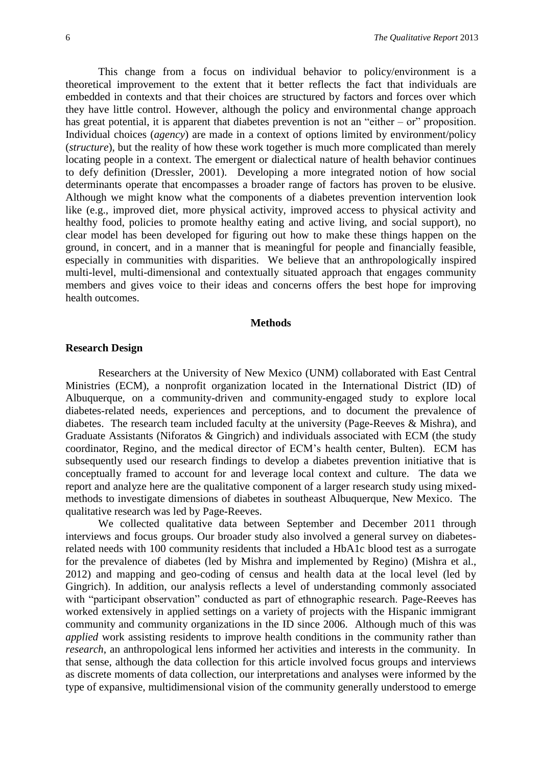This change from a focus on individual behavior to policy/environment is a theoretical improvement to the extent that it better reflects the fact that individuals are embedded in contexts and that their choices are structured by factors and forces over which they have little control. However, although the policy and environmental change approach has great potential, it is apparent that diabetes prevention is not an "either  $-$  or" proposition. Individual choices (*agency*) are made in a context of options limited by environment/policy (*structure*), but the reality of how these work together is much more complicated than merely locating people in a context. The emergent or dialectical nature of health behavior continues to defy definition (Dressler, 2001). Developing a more integrated notion of how social determinants operate that encompasses a broader range of factors has proven to be elusive. Although we might know what the components of a diabetes prevention intervention look like (e.g., improved diet, more physical activity, improved access to physical activity and healthy food, policies to promote healthy eating and active living, and social support), no clear model has been developed for figuring out how to make these things happen on the ground, in concert, and in a manner that is meaningful for people and financially feasible, especially in communities with disparities. We believe that an anthropologically inspired multi-level, multi-dimensional and contextually situated approach that engages community members and gives voice to their ideas and concerns offers the best hope for improving health outcomes.

## **Methods**

#### **Research Design**

Researchers at the University of New Mexico (UNM) collaborated with East Central Ministries (ECM), a nonprofit organization located in the International District (ID) of Albuquerque, on a community-driven and community-engaged study to explore local diabetes-related needs, experiences and perceptions, and to document the prevalence of diabetes. The research team included faculty at the university (Page-Reeves & Mishra), and Graduate Assistants (Niforatos & Gingrich) and individuals associated with ECM (the study coordinator, Regino, and the medical director of ECM's health center, Bulten). ECM has subsequently used our research findings to develop a diabetes prevention initiative that is conceptually framed to account for and leverage local context and culture. The data we report and analyze here are the qualitative component of a larger research study using mixedmethods to investigate dimensions of diabetes in southeast Albuquerque, New Mexico. The qualitative research was led by Page-Reeves.

We collected qualitative data between September and December 2011 through interviews and focus groups. Our broader study also involved a general survey on diabetesrelated needs with 100 community residents that included a HbA1c blood test as a surrogate for the prevalence of diabetes (led by Mishra and implemented by Regino) (Mishra et al., 2012) and mapping and geo-coding of census and health data at the local level (led by Gingrich). In addition, our analysis reflects a level of understanding commonly associated with "participant observation" conducted as part of ethnographic research. Page-Reeves has worked extensively in applied settings on a variety of projects with the Hispanic immigrant community and community organizations in the ID since 2006. Although much of this was *applied* work assisting residents to improve health conditions in the community rather than *research*, an anthropological lens informed her activities and interests in the community. In that sense, although the data collection for this article involved focus groups and interviews as discrete moments of data collection, our interpretations and analyses were informed by the type of expansive, multidimensional vision of the community generally understood to emerge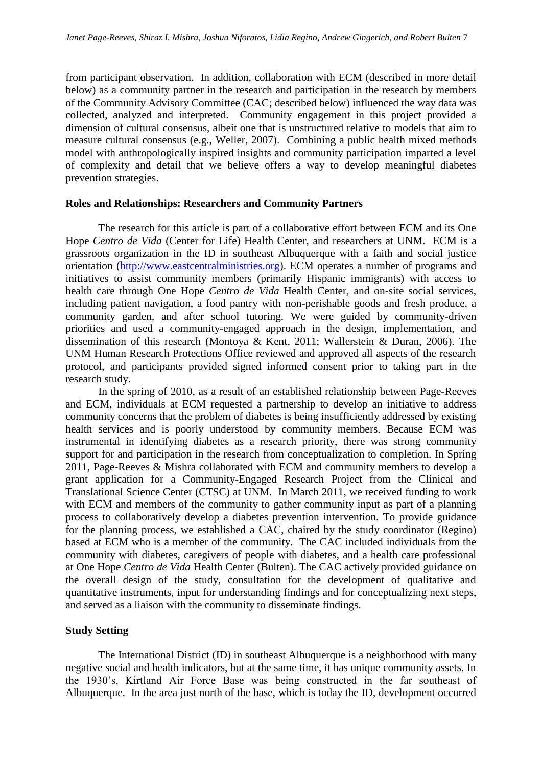from participant observation. In addition, collaboration with ECM (described in more detail below) as a community partner in the research and participation in the research by members of the Community Advisory Committee (CAC; described below) influenced the way data was collected, analyzed and interpreted. Community engagement in this project provided a dimension of cultural consensus, albeit one that is unstructured relative to models that aim to measure cultural consensus (e.g., Weller, 2007). Combining a public health mixed methods model with anthropologically inspired insights and community participation imparted a level of complexity and detail that we believe offers a way to develop meaningful diabetes prevention strategies.

#### **Roles and Relationships: Researchers and Community Partners**

The research for this article is part of a collaborative effort between ECM and its One Hope *Centro de Vida* (Center for Life) Health Center, and researchers at UNM. ECM is a grassroots organization in the ID in southeast Albuquerque with a faith and social justice orientation [\(http://www.eastcentralministries.org\)](http://www.eastcentralministries.org/content.asp?Cus%20tComKey=327941&CategoryKey=495330&pn=Page&DomName=eastcentralministries.org). ECM operates a number of programs and initiatives to assist community members (primarily Hispanic immigrants) with access to health care through One Hope *Centro de Vida* Health Center, and on-site social services, including patient navigation, a food pantry with non-perishable goods and fresh produce, a community garden, and after school tutoring. We were guided by community-driven priorities and used a community-engaged approach in the design, implementation, and dissemination of this research (Montoya & Kent, 2011; Wallerstein & Duran, 2006). The UNM Human Research Protections Office reviewed and approved all aspects of the research protocol, and participants provided signed informed consent prior to taking part in the research study.

In the spring of 2010, as a result of an established relationship between Page-Reeves and ECM, individuals at ECM requested a partnership to develop an initiative to address community concerns that the problem of diabetes is being insufficiently addressed by existing health services and is poorly understood by community members. Because ECM was instrumental in identifying diabetes as a research priority, there was strong community support for and participation in the research from conceptualization to completion. In Spring 2011, Page-Reeves & Mishra collaborated with ECM and community members to develop a grant application for a Community-Engaged Research Project from the Clinical and Translational Science Center (CTSC) at UNM. In March 2011, we received funding to work with ECM and members of the community to gather community input as part of a planning process to collaboratively develop a diabetes prevention intervention. To provide guidance for the planning process, we established a CAC, chaired by the study coordinator (Regino) based at ECM who is a member of the community. The CAC included individuals from the community with diabetes, caregivers of people with diabetes, and a health care professional at One Hope *Centro de Vida* Health Center (Bulten). The CAC actively provided guidance on the overall design of the study, consultation for the development of qualitative and quantitative instruments, input for understanding findings and for conceptualizing next steps, and served as a liaison with the community to disseminate findings.

# **Study Setting**

The International District (ID) in southeast Albuquerque is a neighborhood with many negative social and health indicators, but at the same time, it has unique community assets. In the 1930's, Kirtland Air Force Base was being constructed in the far southeast of Albuquerque. In the area just north of the base, which is today the ID, development occurred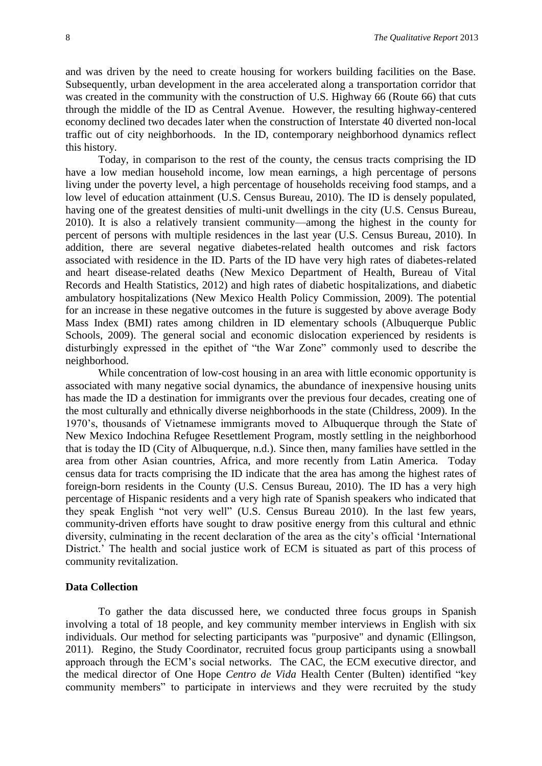and was driven by the need to create housing for workers building facilities on the Base. Subsequently, urban development in the area accelerated along a transportation corridor that was created in the community with the construction of U.S. Highway 66 (Route 66) that cuts through the middle of the ID as Central Avenue. However, the resulting highway-centered economy declined two decades later when the construction of Interstate 40 diverted non-local traffic out of city neighborhoods. In the ID, contemporary neighborhood dynamics reflect this history.

Today, in comparison to the rest of the county, the census tracts comprising the ID have a low median household income, low mean earnings, a high percentage of persons living under the poverty level, a high percentage of households receiving food stamps, and a low level of education attainment (U.S. Census Bureau, 2010). The ID is densely populated, having one of the greatest densities of multi-unit dwellings in the city (U.S. Census Bureau, 2010). It is also a relatively transient community—among the highest in the county for percent of persons with multiple residences in the last year (U.S. Census Bureau, 2010). In addition, there are several negative diabetes-related health outcomes and risk factors associated with residence in the ID. Parts of the ID have very high rates of diabetes-related and heart disease-related deaths (New Mexico Department of Health, Bureau of Vital Records and Health Statistics, 2012) and high rates of diabetic hospitalizations, and diabetic ambulatory hospitalizations (New Mexico Health Policy Commission, 2009). The potential for an increase in these negative outcomes in the future is suggested by above average Body Mass Index (BMI) rates among children in ID elementary schools (Albuquerque Public Schools, 2009). The general social and economic dislocation experienced by residents is disturbingly expressed in the epithet of "the War Zone" commonly used to describe the neighborhood.

While concentration of low-cost housing in an area with little economic opportunity is associated with many negative social dynamics, the abundance of inexpensive housing units has made the ID a destination for immigrants over the previous four decades, creating one of the most culturally and ethnically diverse neighborhoods in the state (Childress, 2009). In the 1970's, thousands of Vietnamese immigrants moved to Albuquerque through the State of New Mexico Indochina Refugee Resettlement Program, mostly settling in the neighborhood that is today the ID (City of Albuquerque, n.d.). Since then, many families have settled in the area from other Asian countries, Africa, and more recently from Latin America. Today census data for tracts comprising the ID indicate that the area has among the highest rates of foreign-born residents in the County (U.S. Census Bureau, 2010). The ID has a very high percentage of Hispanic residents and a very high rate of Spanish speakers who indicated that they speak English "not very well" (U.S. Census Bureau 2010). In the last few years, community-driven efforts have sought to draw positive energy from this cultural and ethnic diversity, culminating in the recent declaration of the area as the city's official 'International District.' The health and social justice work of ECM is situated as part of this process of community revitalization.

# **Data Collection**

To gather the data discussed here, we conducted three focus groups in Spanish involving a total of 18 people, and key community member interviews in English with six individuals. Our method for selecting participants was "purposive" and dynamic (Ellingson, 2011). Regino, the Study Coordinator, recruited focus group participants using a snowball approach through the ECM's social networks. The CAC, the ECM executive director, and the medical director of One Hope *Centro de Vida* Health Center (Bulten) identified "key community members" to participate in interviews and they were recruited by the study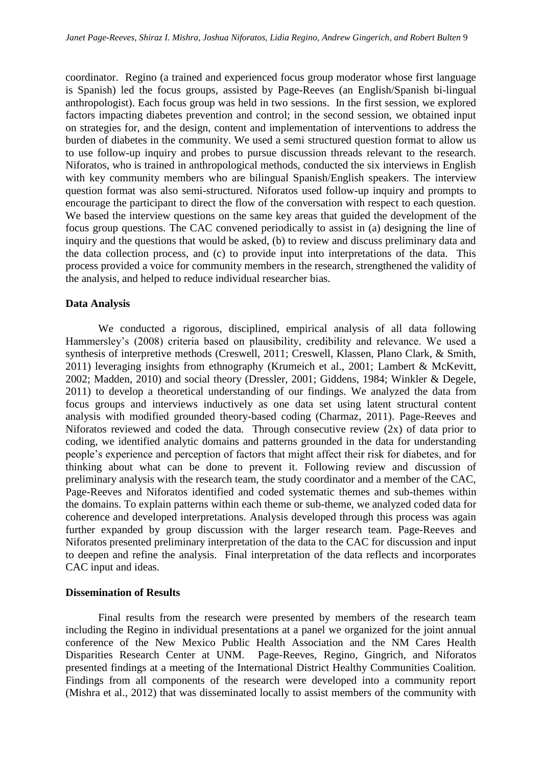coordinator. Regino (a trained and experienced focus group moderator whose first language is Spanish) led the focus groups, assisted by Page-Reeves (an English/Spanish bi-lingual anthropologist). Each focus group was held in two sessions. In the first session, we explored factors impacting diabetes prevention and control; in the second session, we obtained input on strategies for, and the design, content and implementation of interventions to address the burden of diabetes in the community. We used a semi structured question format to allow us to use follow-up inquiry and probes to pursue discussion threads relevant to the research. Niforatos, who is trained in anthropological methods, conducted the six interviews in English with key community members who are bilingual Spanish/English speakers. The interview question format was also semi-structured. Niforatos used follow-up inquiry and prompts to encourage the participant to direct the flow of the conversation with respect to each question. We based the interview questions on the same key areas that guided the development of the focus group questions. The CAC convened periodically to assist in (a) designing the line of inquiry and the questions that would be asked, (b) to review and discuss preliminary data and the data collection process, and (c) to provide input into interpretations of the data. This process provided a voice for community members in the research, strengthened the validity of the analysis, and helped to reduce individual researcher bias.

# **Data Analysis**

We conducted a rigorous, disciplined, empirical analysis of all data following Hammersley's (2008) criteria based on plausibility, credibility and relevance. We used a synthesis of interpretive methods (Creswell, 2011; Creswell, Klassen, Plano Clark, & Smith, 2011) leveraging insights from ethnography (Krumeich et al., 2001; Lambert & McKevitt, 2002; Madden, 2010) and social theory (Dressler, 2001; Giddens, 1984; Winkler & Degele, 2011) to develop a theoretical understanding of our findings. We analyzed the data from focus groups and interviews inductively as one data set using latent structural content analysis with modified grounded theory-based coding (Charmaz, 2011). Page-Reeves and Niforatos reviewed and coded the data. Through consecutive review (2x) of data prior to coding, we identified analytic domains and patterns grounded in the data for understanding people's experience and perception of factors that might affect their risk for diabetes, and for thinking about what can be done to prevent it. Following review and discussion of preliminary analysis with the research team, the study coordinator and a member of the CAC, Page-Reeves and Niforatos identified and coded systematic themes and sub-themes within the domains. To explain patterns within each theme or sub-theme, we analyzed coded data for coherence and developed interpretations. Analysis developed through this process was again further expanded by group discussion with the larger research team. Page-Reeves and Niforatos presented preliminary interpretation of the data to the CAC for discussion and input to deepen and refine the analysis. Final interpretation of the data reflects and incorporates CAC input and ideas.

#### **Dissemination of Results**

Final results from the research were presented by members of the research team including the Regino in individual presentations at a panel we organized for the joint annual conference of the New Mexico Public Health Association and the NM Cares Health Disparities Research Center at UNM. Page-Reeves, Regino, Gingrich, and Niforatos presented findings at a meeting of the International District Healthy Communities Coalition. Findings from all components of the research were developed into a community report (Mishra et al., 2012) that was disseminated locally to assist members of the community with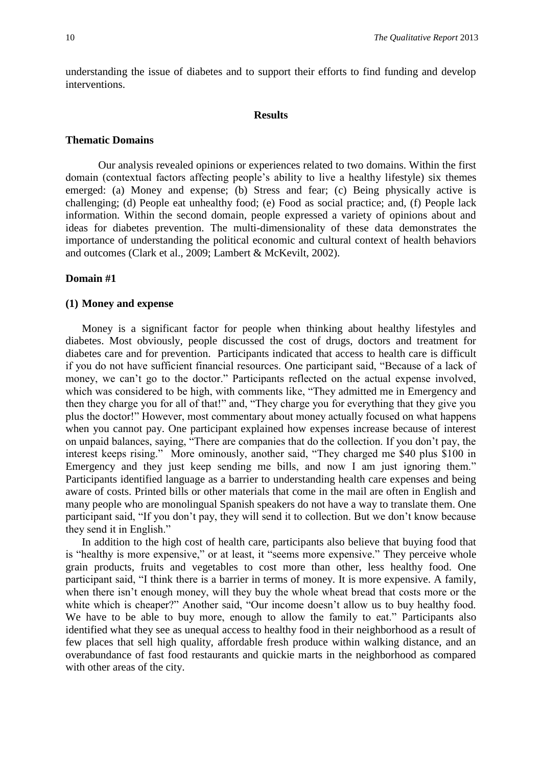understanding the issue of diabetes and to support their efforts to find funding and develop interventions.

#### **Results**

#### **Thematic Domains**

Our analysis revealed opinions or experiences related to two domains. Within the first domain (contextual factors affecting people's ability to live a healthy lifestyle) six themes emerged: (a) Money and expense; (b) Stress and fear; (c) Being physically active is challenging; (d) People eat unhealthy food; (e) Food as social practice; and, (f) People lack information. Within the second domain, people expressed a variety of opinions about and ideas for diabetes prevention. The multi-dimensionality of these data demonstrates the importance of understanding the political economic and cultural context of health behaviors and outcomes (Clark et al., 2009; Lambert & McKevilt, 2002).

# **Domain #1**

# **(1) Money and expense**

Money is a significant factor for people when thinking about healthy lifestyles and diabetes. Most obviously, people discussed the cost of drugs, doctors and treatment for diabetes care and for prevention. Participants indicated that access to health care is difficult if you do not have sufficient financial resources. One participant said, "Because of a lack of money, we can't go to the doctor." Participants reflected on the actual expense involved, which was considered to be high, with comments like, "They admitted me in Emergency and then they charge you for all of that!" and, "They charge you for everything that they give you plus the doctor!" However, most commentary about money actually focused on what happens when you cannot pay. One participant explained how expenses increase because of interest on unpaid balances, saying, "There are companies that do the collection. If you don't pay, the interest keeps rising." More ominously, another said, "They charged me \$40 plus \$100 in Emergency and they just keep sending me bills, and now I am just ignoring them." Participants identified language as a barrier to understanding health care expenses and being aware of costs. Printed bills or other materials that come in the mail are often in English and many people who are monolingual Spanish speakers do not have a way to translate them. One participant said, "If you don't pay, they will send it to collection. But we don't know because they send it in English."

In addition to the high cost of health care, participants also believe that buying food that is "healthy is more expensive," or at least, it "seems more expensive." They perceive whole grain products, fruits and vegetables to cost more than other, less healthy food. One participant said, "I think there is a barrier in terms of money. It is more expensive. A family, when there isn't enough money, will they buy the whole wheat bread that costs more or the white which is cheaper?" Another said, "Our income doesn't allow us to buy healthy food. We have to be able to buy more, enough to allow the family to eat." Participants also identified what they see as unequal access to healthy food in their neighborhood as a result of few places that sell high quality, affordable fresh produce within walking distance, and an overabundance of fast food restaurants and quickie marts in the neighborhood as compared with other areas of the city.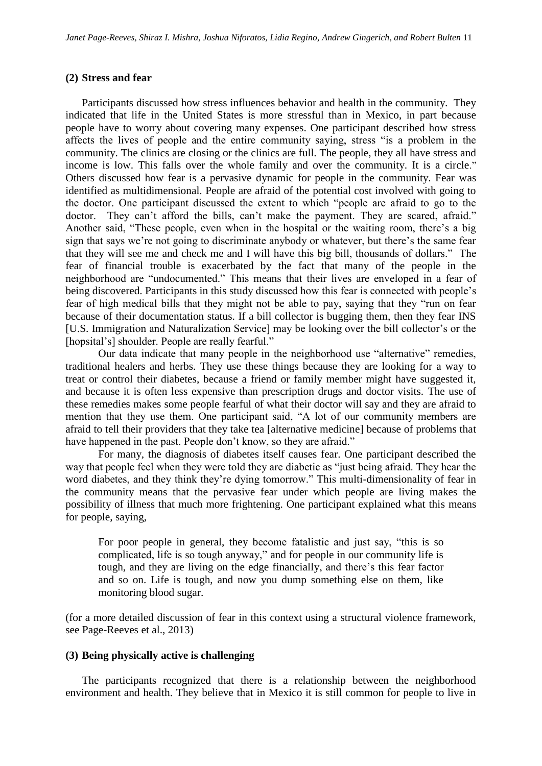# **(2) Stress and fear**

Participants discussed how stress influences behavior and health in the community. They indicated that life in the United States is more stressful than in Mexico, in part because people have to worry about covering many expenses. One participant described how stress affects the lives of people and the entire community saying, stress "is a problem in the community. The clinics are closing or the clinics are full. The people, they all have stress and income is low. This falls over the whole family and over the community. It is a circle." Others discussed how fear is a pervasive dynamic for people in the community. Fear was identified as multidimensional. People are afraid of the potential cost involved with going to the doctor. One participant discussed the extent to which "people are afraid to go to the doctor. They can't afford the bills, can't make the payment. They are scared, afraid." Another said, "These people, even when in the hospital or the waiting room, there's a big sign that says we're not going to discriminate anybody or whatever, but there's the same fear that they will see me and check me and I will have this big bill, thousands of dollars." The fear of financial trouble is exacerbated by the fact that many of the people in the neighborhood are "undocumented." This means that their lives are enveloped in a fear of being discovered. Participants in this study discussed how this fear is connected with people's fear of high medical bills that they might not be able to pay, saying that they "run on fear because of their documentation status. If a bill collector is bugging them, then they fear INS [U.S. Immigration and Naturalization Service] may be looking over the bill collector's or the [hopsital's] shoulder. People are really fearful."

Our data indicate that many people in the neighborhood use "alternative" remedies, traditional healers and herbs. They use these things because they are looking for a way to treat or control their diabetes, because a friend or family member might have suggested it, and because it is often less expensive than prescription drugs and doctor visits. The use of these remedies makes some people fearful of what their doctor will say and they are afraid to mention that they use them. One participant said, "A lot of our community members are afraid to tell their providers that they take tea [alternative medicine] because of problems that have happened in the past. People don't know, so they are afraid."

For many, the diagnosis of diabetes itself causes fear. One participant described the way that people feel when they were told they are diabetic as "just being afraid. They hear the word diabetes, and they think they're dying tomorrow." This multi-dimensionality of fear in the community means that the pervasive fear under which people are living makes the possibility of illness that much more frightening. One participant explained what this means for people, saying,

For poor people in general, they become fatalistic and just say, "this is so complicated, life is so tough anyway," and for people in our community life is tough, and they are living on the edge financially, and there's this fear factor and so on. Life is tough, and now you dump something else on them, like monitoring blood sugar.

(for a more detailed discussion of fear in this context using a structural violence framework, see Page-Reeves et al., 2013)

# **(3) Being physically active is challenging**

The participants recognized that there is a relationship between the neighborhood environment and health. They believe that in Mexico it is still common for people to live in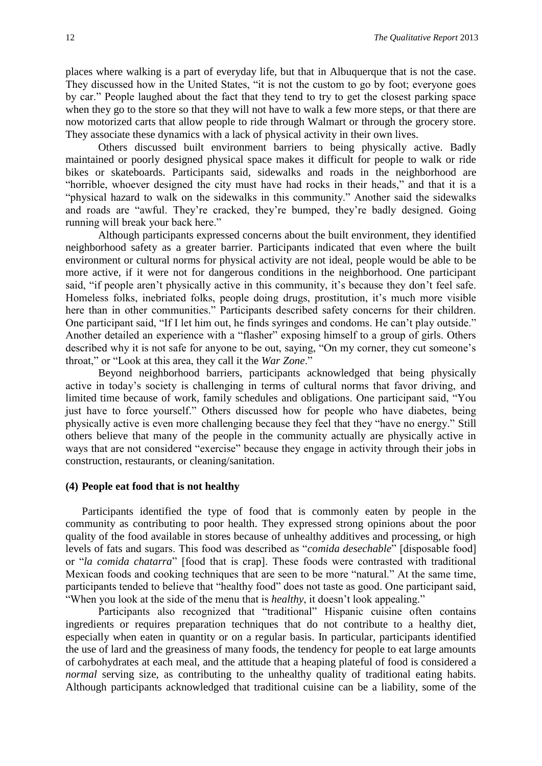places where walking is a part of everyday life, but that in Albuquerque that is not the case. They discussed how in the United States, "it is not the custom to go by foot; everyone goes by car." People laughed about the fact that they tend to try to get the closest parking space when they go to the store so that they will not have to walk a few more steps, or that there are now motorized carts that allow people to ride through Walmart or through the grocery store. They associate these dynamics with a lack of physical activity in their own lives.

Others discussed built environment barriers to being physically active. Badly maintained or poorly designed physical space makes it difficult for people to walk or ride bikes or skateboards. Participants said, sidewalks and roads in the neighborhood are "horrible, whoever designed the city must have had rocks in their heads," and that it is a "physical hazard to walk on the sidewalks in this community." Another said the sidewalks and roads are "awful. They're cracked, they're bumped, they're badly designed. Going running will break your back here."

Although participants expressed concerns about the built environment, they identified neighborhood safety as a greater barrier. Participants indicated that even where the built environment or cultural norms for physical activity are not ideal, people would be able to be more active, if it were not for dangerous conditions in the neighborhood. One participant said, "if people aren't physically active in this community, it's because they don't feel safe. Homeless folks, inebriated folks, people doing drugs, prostitution, it's much more visible here than in other communities." Participants described safety concerns for their children. One participant said, "If I let him out, he finds syringes and condoms. He can't play outside." Another detailed an experience with a "flasher" exposing himself to a group of girls. Others described why it is not safe for anyone to be out, saying, "On my corner, they cut someone's throat," or "Look at this area, they call it the *War Zone*."

Beyond neighborhood barriers, participants acknowledged that being physically active in today's society is challenging in terms of cultural norms that favor driving, and limited time because of work, family schedules and obligations. One participant said, "You just have to force yourself." Others discussed how for people who have diabetes, being physically active is even more challenging because they feel that they "have no energy." Still others believe that many of the people in the community actually are physically active in ways that are not considered "exercise" because they engage in activity through their jobs in construction, restaurants, or cleaning/sanitation.

# **(4) People eat food that is not healthy**

Participants identified the type of food that is commonly eaten by people in the community as contributing to poor health. They expressed strong opinions about the poor quality of the food available in stores because of unhealthy additives and processing, or high levels of fats and sugars. This food was described as "*comida desechable*" [disposable food] or "*la comida chatarra*" [food that is crap]. These foods were contrasted with traditional Mexican foods and cooking techniques that are seen to be more "natural." At the same time, participants tended to believe that "healthy food" does not taste as good. One participant said, "When you look at the side of the menu that is *healthy*, it doesn't look appealing."

Participants also recognized that "traditional" Hispanic cuisine often contains ingredients or requires preparation techniques that do not contribute to a healthy diet, especially when eaten in quantity or on a regular basis. In particular, participants identified the use of lard and the greasiness of many foods, the tendency for people to eat large amounts of carbohydrates at each meal, and the attitude that a heaping plateful of food is considered a *normal* serving size, as contributing to the unhealthy quality of traditional eating habits. Although participants acknowledged that traditional cuisine can be a liability, some of the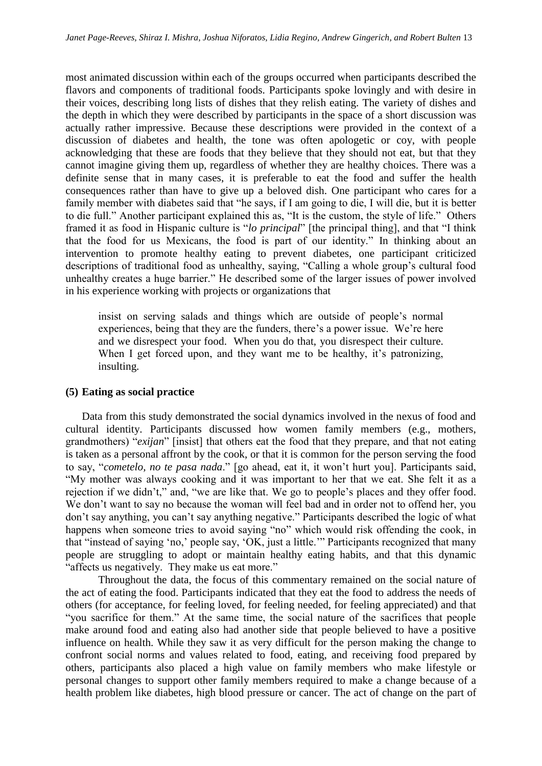most animated discussion within each of the groups occurred when participants described the flavors and components of traditional foods. Participants spoke lovingly and with desire in their voices, describing long lists of dishes that they relish eating. The variety of dishes and the depth in which they were described by participants in the space of a short discussion was actually rather impressive. Because these descriptions were provided in the context of a discussion of diabetes and health, the tone was often apologetic or coy, with people acknowledging that these are foods that they believe that they should not eat, but that they cannot imagine giving them up, regardless of whether they are healthy choices. There was a definite sense that in many cases, it is preferable to eat the food and suffer the health consequences rather than have to give up a beloved dish. One participant who cares for a family member with diabetes said that "he says, if I am going to die, I will die, but it is better to die full." Another participant explained this as, "It is the custom, the style of life." Others framed it as food in Hispanic culture is "*lo principal*" [the principal thing], and that "I think that the food for us Mexicans, the food is part of our identity." In thinking about an intervention to promote healthy eating to prevent diabetes, one participant criticized descriptions of traditional food as unhealthy, saying, "Calling a whole group's cultural food unhealthy creates a huge barrier." He described some of the larger issues of power involved in his experience working with projects or organizations that

insist on serving salads and things which are outside of people's normal experiences, being that they are the funders, there's a power issue. We're here and we disrespect your food. When you do that, you disrespect their culture. When I get forced upon, and they want me to be healthy, it's patronizing, insulting.

# **(5) Eating as social practice**

Data from this study demonstrated the social dynamics involved in the nexus of food and cultural identity. Participants discussed how women family members (e.g., mothers, grandmothers) "*exijan*" [insist] that others eat the food that they prepare, and that not eating is taken as a personal affront by the cook, or that it is common for the person serving the food to say, "*cometelo, no te pasa nada*." [go ahead, eat it, it won't hurt you]. Participants said, "My mother was always cooking and it was important to her that we eat. She felt it as a rejection if we didn't," and, "we are like that. We go to people's places and they offer food. We don't want to say no because the woman will feel bad and in order not to offend her, you don't say anything, you can't say anything negative." Participants described the logic of what happens when someone tries to avoid saying "no" which would risk offending the cook, in that "instead of saying 'no,' people say, 'OK, just a little.'" Participants recognized that many people are struggling to adopt or maintain healthy eating habits, and that this dynamic "affects us negatively. They make us eat more."

Throughout the data, the focus of this commentary remained on the social nature of the act of eating the food. Participants indicated that they eat the food to address the needs of others (for acceptance, for feeling loved, for feeling needed, for feeling appreciated) and that "you sacrifice for them." At the same time, the social nature of the sacrifices that people make around food and eating also had another side that people believed to have a positive influence on health. While they saw it as very difficult for the person making the change to confront social norms and values related to food, eating, and receiving food prepared by others, participants also placed a high value on family members who make lifestyle or personal changes to support other family members required to make a change because of a health problem like diabetes, high blood pressure or cancer. The act of change on the part of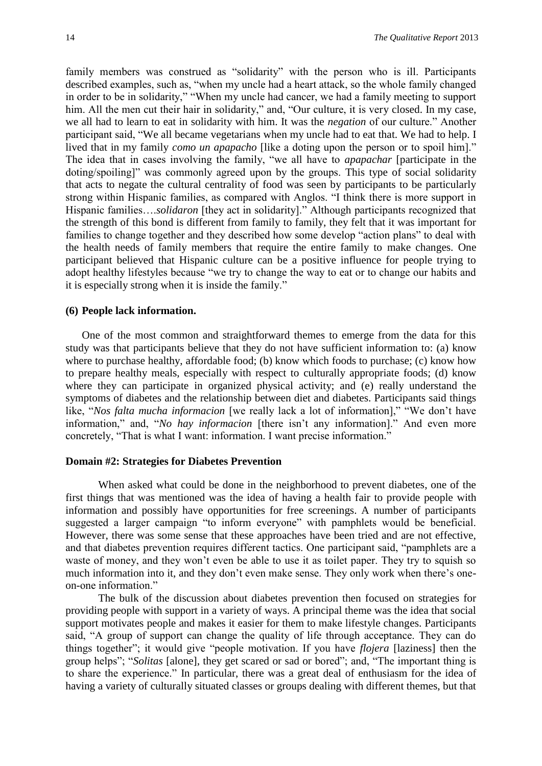family members was construed as "solidarity" with the person who is ill. Participants described examples, such as, "when my uncle had a heart attack, so the whole family changed in order to be in solidarity," "When my uncle had cancer, we had a family meeting to support him. All the men cut their hair in solidarity," and, "Our culture, it is very closed. In my case, we all had to learn to eat in solidarity with him. It was the *negation* of our culture." Another participant said, "We all became vegetarians when my uncle had to eat that. We had to help. I lived that in my family *como un apapacho* [like a doting upon the person or to spoil him]." The idea that in cases involving the family, "we all have to *apapachar* [participate in the doting/spoiling]" was commonly agreed upon by the groups. This type of social solidarity that acts to negate the cultural centrality of food was seen by participants to be particularly strong within Hispanic families, as compared with Anglos. "I think there is more support in Hispanic families….*solidaron* [they act in solidarity]." Although participants recognized that the strength of this bond is different from family to family, they felt that it was important for families to change together and they described how some develop "action plans" to deal with the health needs of family members that require the entire family to make changes. One participant believed that Hispanic culture can be a positive influence for people trying to adopt healthy lifestyles because "we try to change the way to eat or to change our habits and it is especially strong when it is inside the family."

#### **(6) People lack information.**

One of the most common and straightforward themes to emerge from the data for this study was that participants believe that they do not have sufficient information to: (a) know where to purchase healthy, affordable food; (b) know which foods to purchase; (c) know how to prepare healthy meals, especially with respect to culturally appropriate foods; (d) know where they can participate in organized physical activity; and (e) really understand the symptoms of diabetes and the relationship between diet and diabetes. Participants said things like, "*Nos falta mucha informacion* [we really lack a lot of information]," "We don't have information," and, "*No hay informacion* [there isn't any information]." And even more concretely, "That is what I want: information. I want precise information."

# **Domain #2: Strategies for Diabetes Prevention**

When asked what could be done in the neighborhood to prevent diabetes, one of the first things that was mentioned was the idea of having a health fair to provide people with information and possibly have opportunities for free screenings. A number of participants suggested a larger campaign "to inform everyone" with pamphlets would be beneficial. However, there was some sense that these approaches have been tried and are not effective, and that diabetes prevention requires different tactics. One participant said, "pamphlets are a waste of money, and they won't even be able to use it as toilet paper. They try to squish so much information into it, and they don't even make sense. They only work when there's oneon-one information."

The bulk of the discussion about diabetes prevention then focused on strategies for providing people with support in a variety of ways. A principal theme was the idea that social support motivates people and makes it easier for them to make lifestyle changes. Participants said, "A group of support can change the quality of life through acceptance. They can do things together"; it would give "people motivation. If you have *flojera* [laziness] then the group helps"; "*Solitas* [alone], they get scared or sad or bored"; and, "The important thing is to share the experience." In particular, there was a great deal of enthusiasm for the idea of having a variety of culturally situated classes or groups dealing with different themes, but that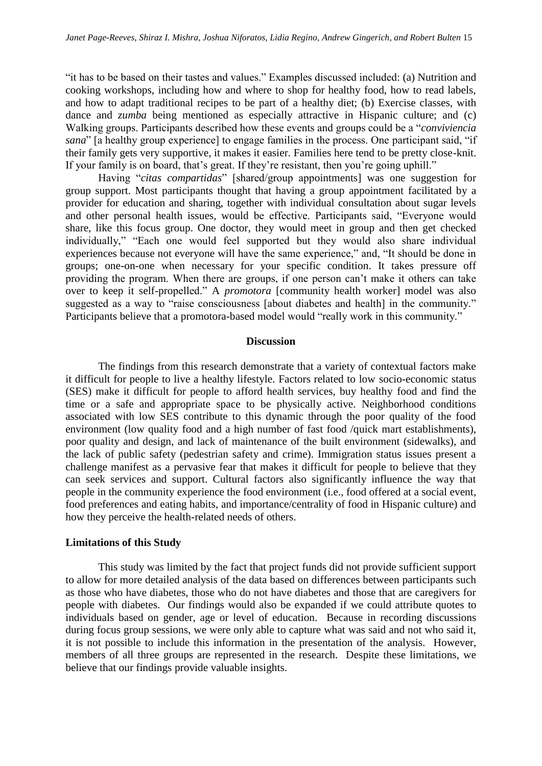"it has to be based on their tastes and values." Examples discussed included: (a) Nutrition and cooking workshops, including how and where to shop for healthy food, how to read labels, and how to adapt traditional recipes to be part of a healthy diet; (b) Exercise classes, with dance and *zumba* being mentioned as especially attractive in Hispanic culture; and (c) Walking groups. Participants described how these events and groups could be a "*conviviencia sana*" [a healthy group experience] to engage families in the process. One participant said, "if their family gets very supportive, it makes it easier. Families here tend to be pretty close-knit. If your family is on board, that's great. If they're resistant, then you're going uphill."

Having "*citas compartidas*" [shared/group appointments] was one suggestion for group support. Most participants thought that having a group appointment facilitated by a provider for education and sharing, together with individual consultation about sugar levels and other personal health issues, would be effective. Participants said, "Everyone would share, like this focus group. One doctor, they would meet in group and then get checked individually," "Each one would feel supported but they would also share individual experiences because not everyone will have the same experience," and, "It should be done in groups; one-on-one when necessary for your specific condition. It takes pressure off providing the program. When there are groups, if one person can't make it others can take over to keep it self-propelled." A *promotora* [community health worker] model was also suggested as a way to "raise consciousness [about diabetes and health] in the community." Participants believe that a promotora-based model would "really work in this community."

#### **Discussion**

The findings from this research demonstrate that a variety of contextual factors make it difficult for people to live a healthy lifestyle. Factors related to low socio-economic status (SES) make it difficult for people to afford health services, buy healthy food and find the time or a safe and appropriate space to be physically active. Neighborhood conditions associated with low SES contribute to this dynamic through the poor quality of the food environment (low quality food and a high number of fast food /quick mart establishments), poor quality and design, and lack of maintenance of the built environment (sidewalks), and the lack of public safety (pedestrian safety and crime). Immigration status issues present a challenge manifest as a pervasive fear that makes it difficult for people to believe that they can seek services and support. Cultural factors also significantly influence the way that people in the community experience the food environment (i.e., food offered at a social event, food preferences and eating habits, and importance/centrality of food in Hispanic culture) and how they perceive the health-related needs of others.

# **Limitations of this Study**

This study was limited by the fact that project funds did not provide sufficient support to allow for more detailed analysis of the data based on differences between participants such as those who have diabetes, those who do not have diabetes and those that are caregivers for people with diabetes. Our findings would also be expanded if we could attribute quotes to individuals based on gender, age or level of education. Because in recording discussions during focus group sessions, we were only able to capture what was said and not who said it, it is not possible to include this information in the presentation of the analysis. However, members of all three groups are represented in the research. Despite these limitations, we believe that our findings provide valuable insights.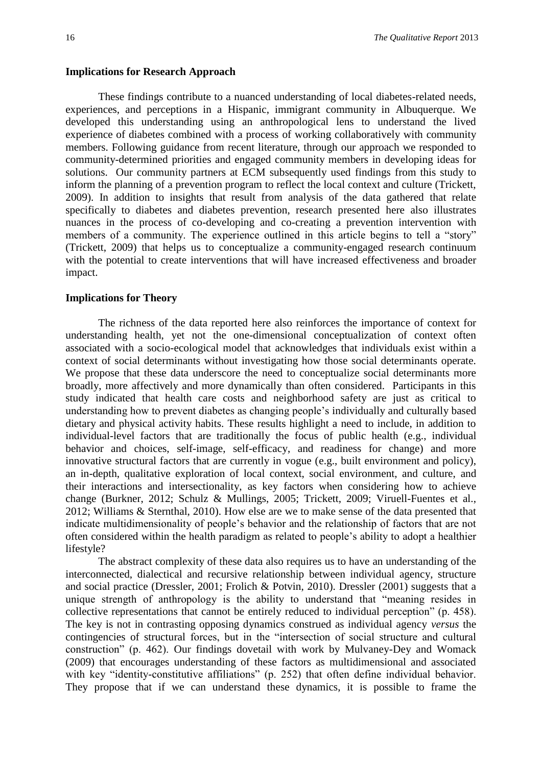#### **Implications for Research Approach**

These findings contribute to a nuanced understanding of local diabetes-related needs, experiences, and perceptions in a Hispanic, immigrant community in Albuquerque. We developed this understanding using an anthropological lens to understand the lived experience of diabetes combined with a process of working collaboratively with community members. Following guidance from recent literature, through our approach we responded to community-determined priorities and engaged community members in developing ideas for solutions. Our community partners at ECM subsequently used findings from this study to inform the planning of a prevention program to reflect the local context and culture (Trickett, 2009). In addition to insights that result from analysis of the data gathered that relate specifically to diabetes and diabetes prevention, research presented here also illustrates nuances in the process of co-developing and co-creating a prevention intervention with members of a community. The experience outlined in this article begins to tell a "story" (Trickett, 2009) that helps us to conceptualize a community-engaged research continuum with the potential to create interventions that will have increased effectiveness and broader impact.

#### **Implications for Theory**

The richness of the data reported here also reinforces the importance of context for understanding health, yet not the one-dimensional conceptualization of context often associated with a socio-ecological model that acknowledges that individuals exist within a context of social determinants without investigating how those social determinants operate. We propose that these data underscore the need to conceptualize social determinants more broadly, more affectively and more dynamically than often considered. Participants in this study indicated that health care costs and neighborhood safety are just as critical to understanding how to prevent diabetes as changing people's individually and culturally based dietary and physical activity habits. These results highlight a need to include, in addition to individual-level factors that are traditionally the focus of public health (e.g., individual behavior and choices, self-image, self-efficacy, and readiness for change) and more innovative structural factors that are currently in vogue (e.g., built environment and policy), an in-depth, qualitative exploration of local context, social environment, and culture, and their interactions and intersectionality, as key factors when considering how to achieve change (Burkner, 2012; Schulz & Mullings, 2005; Trickett, 2009; Viruell-Fuentes et al., 2012; Williams & Sternthal, 2010). How else are we to make sense of the data presented that indicate multidimensionality of people's behavior and the relationship of factors that are not often considered within the health paradigm as related to people's ability to adopt a healthier lifestyle?

The abstract complexity of these data also requires us to have an understanding of the interconnected, dialectical and recursive relationship between individual agency, structure and social practice (Dressler, 2001; Frolich & Potvin, 2010). Dressler (2001) suggests that a unique strength of anthropology is the ability to understand that "meaning resides in collective representations that cannot be entirely reduced to individual perception" (p. 458). The key is not in contrasting opposing dynamics construed as individual agency *versus* the contingencies of structural forces, but in the "intersection of social structure and cultural construction" (p. 462). Our findings dovetail with work by Mulvaney-Dey and Womack (2009) that encourages understanding of these factors as multidimensional and associated with key "identity-constitutive affiliations" (p. 252) that often define individual behavior. They propose that if we can understand these dynamics, it is possible to frame the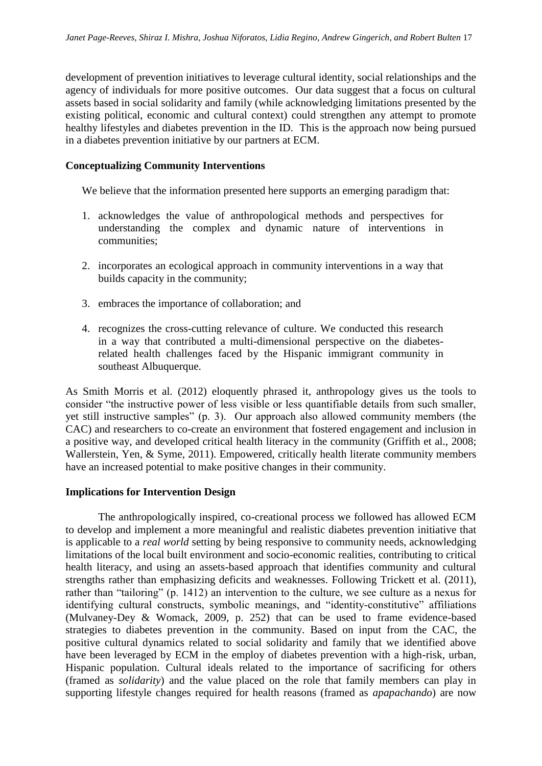development of prevention initiatives to leverage cultural identity, social relationships and the agency of individuals for more positive outcomes. Our data suggest that a focus on cultural assets based in social solidarity and family (while acknowledging limitations presented by the existing political, economic and cultural context) could strengthen any attempt to promote healthy lifestyles and diabetes prevention in the ID. This is the approach now being pursued in a diabetes prevention initiative by our partners at ECM.

# **Conceptualizing Community Interventions**

We believe that the information presented here supports an emerging paradigm that:

- 1. acknowledges the value of anthropological methods and perspectives for understanding the complex and dynamic nature of interventions in communities;
- 2. incorporates an ecological approach in community interventions in a way that builds capacity in the community;
- 3. embraces the importance of collaboration; and
- 4. recognizes the cross-cutting relevance of culture. We conducted this research in a way that contributed a multi-dimensional perspective on the diabetesrelated health challenges faced by the Hispanic immigrant community in southeast Albuquerque.

As Smith Morris et al. (2012) eloquently phrased it, anthropology gives us the tools to consider "the instructive power of less visible or less quantifiable details from such smaller, yet still instructive samples" (p. 3). Our approach also allowed community members (the CAC) and researchers to co-create an environment that fostered engagement and inclusion in a positive way, and developed critical health literacy in the community (Griffith et al., 2008; Wallerstein, Yen, & Syme, 2011). Empowered, critically health literate community members have an increased potential to make positive changes in their community.

# **Implications for Intervention Design**

The anthropologically inspired, co-creational process we followed has allowed ECM to develop and implement a more meaningful and realistic diabetes prevention initiative that is applicable to a *real world* setting by being responsive to community needs, acknowledging limitations of the local built environment and socio-economic realities, contributing to critical health literacy, and using an assets-based approach that identifies community and cultural strengths rather than emphasizing deficits and weaknesses. Following Trickett et al. (2011), rather than "tailoring" (p. 1412) an intervention to the culture, we see culture as a nexus for identifying cultural constructs, symbolic meanings, and "identity-constitutive" affiliations (Mulvaney-Dey & Womack, 2009, p. 252) that can be used to frame evidence-based strategies to diabetes prevention in the community. Based on input from the CAC, the positive cultural dynamics related to social solidarity and family that we identified above have been leveraged by ECM in the employ of diabetes prevention with a high-risk, urban, Hispanic population. Cultural ideals related to the importance of sacrificing for others (framed as *solidarity*) and the value placed on the role that family members can play in supporting lifestyle changes required for health reasons (framed as *apapachando*) are now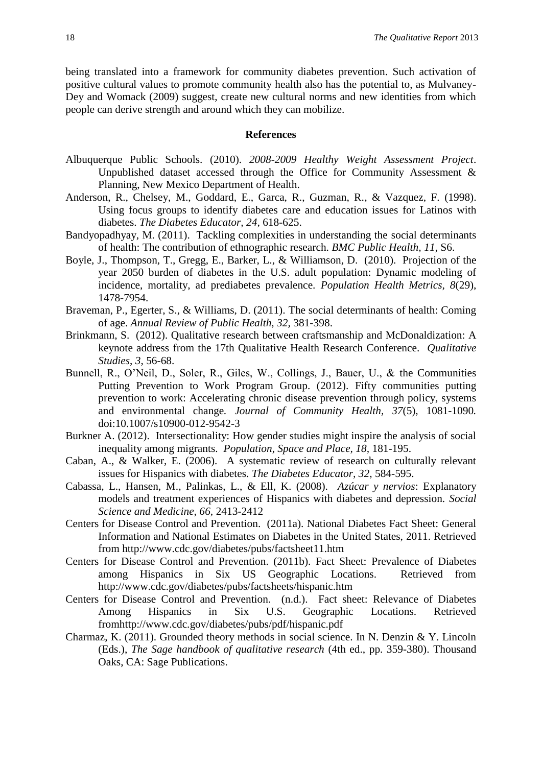being translated into a framework for community diabetes prevention. Such activation of positive cultural values to promote community health also has the potential to, as Mulvaney-Dey and Womack (2009) suggest, create new cultural norms and new identities from which people can derive strength and around which they can mobilize.

## **References**

- Albuquerque Public Schools. (2010). *2008-2009 Healthy Weight Assessment Project*. Unpublished dataset accessed through the Office for Community Assessment & Planning, New Mexico Department of Health.
- Anderson, R., Chelsey, M., Goddard, E., Garca, R., Guzman, R., & Vazquez, F. (1998). Using focus groups to identify diabetes care and education issues for Latinos with diabetes. *The Diabetes Educator, 24,* 618-625.
- Bandyopadhyay, M. (2011). Tackling complexities in understanding the social determinants of health: The contribution of ethnographic research. *BMC Public Health, 11,* S6.
- Boyle, J., Thompson, T., Gregg, E., Barker, L., & Williamson, D. (2010). Projection of the year 2050 burden of diabetes in the U.S. adult population: Dynamic modeling of incidence, mortality, ad prediabetes prevalence. *Population Health Metrics, 8*(29), 1478-7954.
- Braveman, P., Egerter, S., & Williams, D. (2011). The social determinants of health: Coming of age. *Annual Review of Public Health, 32,* 381-398.
- Brinkmann, S. (2012). Qualitative research between craftsmanship and McDonaldization: A keynote address from the 17th Qualitative Health Research Conference. *Qualitative Studies*, *3*, 56-68.
- Bunnell, R., O'Neil, D., Soler, R., Giles, W., Collings, J., Bauer, U., & the Communities Putting Prevention to Work Program Group. (2012). Fifty communities putting prevention to work: Accelerating chronic disease prevention through policy, systems and environmental change*. Journal of Community Health, 37*(5), 1081-1090*.* doi:10.1007/s10900-012-9542-3
- Burkner A. (2012). Intersectionality: How gender studies might inspire the analysis of social inequality among migrants. *Population, Space and Place, 18,* 181-195.
- Caban, A., & Walker, E. (2006). A systematic review of research on culturally relevant issues for Hispanics with diabetes. *The Diabetes Educator, 32,* 584-595.
- Cabassa, L., Hansen, M., Palinkas, L., & Ell, K. (2008). *Azúcar y nervios*: Explanatory models and treatment experiences of Hispanics with diabetes and depression. *Social Science and Medicine, 66,* 2413-2412
- Centers for Disease Control and Prevention. (2011a). National Diabetes Fact Sheet: General Information and National Estimates on Diabetes in the United States, 2011. Retrieved from<http://www.cdc.gov/diabetes/pubs/factsheet11.htm>
- Centers for Disease Control and Prevention. (2011b). Fact Sheet: Prevalence of Diabetes among Hispanics in Six US Geographic Locations. Retrieved from http://www.cdc.gov/diabetes/pubs/factsheets/hispanic.htm
- Centers for Disease Control and Prevention. (n.d.). Fact sheet: Relevance of Diabetes Among Hispanics in Six U.S. Geographic Locations. Retrieved fro[mhttp://www.cdc.gov/diabetes/pubs/pdf/hispanic.pdf](http://www.cdc.gov/diabetes/pubs/pdf/hispanic.pdf)
- Charmaz, K. (2011). Grounded theory methods in social science. In N. Denzin & Y. Lincoln (Eds.), *The Sage handbook of qualitative research* (4th ed., pp. 359-380). Thousand Oaks, CA: Sage Publications.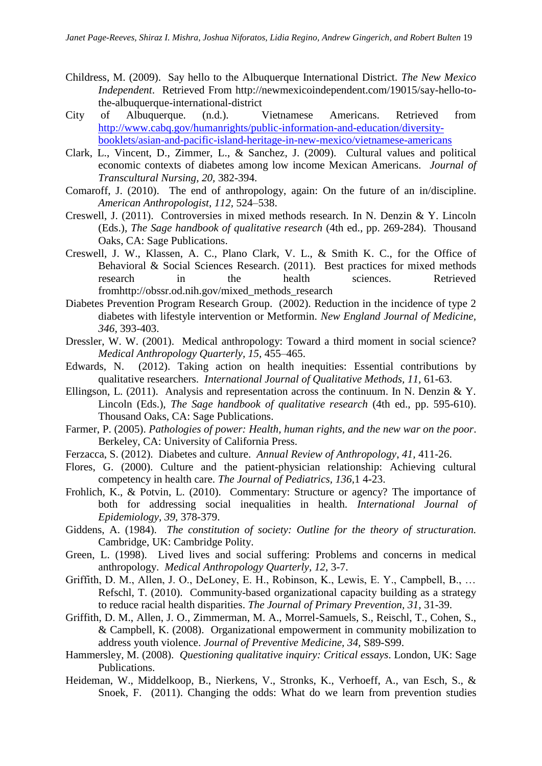- Childress, M. (2009). Say hello to the Albuquerque International District. *The New Mexico Independent*. Retrieved From [http://newmexicoindependent.com/19015/say-hello-to](http://newmexicoindependent.com/19015/say-hello-to-the-albuquerque-international-district)[the-albuquerque-international-district](http://newmexicoindependent.com/19015/say-hello-to-the-albuquerque-international-district)
- City of Albuquerque. (n.d.). Vietnamese Americans. Retrieved from [http://www.cabq.gov/humanrights/public-information-and-education/diversity](http://www.cabq.gov/humanrights/public-information-and-education/diversity-booklets/asian-and-pacific-island-heritage-in-new-mexico/vietnamese-americans)[booklets/asian-and-pacific-island-heritage-in-new-mexico/vietnamese-americans](http://www.cabq.gov/humanrights/public-information-and-education/diversity-booklets/asian-and-pacific-island-heritage-in-new-mexico/vietnamese-americans)
- Clark, L., Vincent, D., Zimmer, L., & Sanchez, J. (2009). Cultural values and political economic contexts of diabetes among low income Mexican Americans. *Journal of Transcultural Nursing, 20,* 382-394.
- Comaroff, J. (2010). The end of anthropology, again: On the future of an in/discipline. *American Anthropologist, 112,* 524–538.
- Creswell, J. (2011). Controversies in mixed methods research. In N. Denzin & Y. Lincoln (Eds.), *The Sage handbook of qualitative research* (4th ed., pp. 269-284). Thousand Oaks, CA: Sage Publications.
- Creswell, J. W., Klassen, A. C., Plano Clark, V. L., & Smith K. C., for the Office of Behavioral & Social Sciences Research. (2011). Best practices for mixed methods research in the health sciences. Retrieved fro[mhttp://obssr.od.nih.gov/mixed\\_methods\\_research](http://obssr.od.nih.gov/mixed_methods_research)
- Diabetes Prevention Program Research Group. (2002). Reduction in the incidence of type 2 diabetes with lifestyle intervention or Metformin. *New England Journal of Medicine, 346,* 393-403.
- Dressler, W. W. (2001). Medical anthropology: Toward a third moment in social science? *Medical Anthropology Quarterly, 15,* 455–465.
- Edwards, N. (2012). Taking action on health inequities: Essential contributions by qualitative researchers. *International Journal of Qualitative Methods, 11,* 61-63.
- Ellingson, L. (2011). Analysis and representation across the continuum. In N. Denzin & Y. Lincoln (Eds.), *The Sage handbook of qualitative research* (4th ed., pp. 595-610). Thousand Oaks, CA: Sage Publications.
- Farmer, P. (2005). *Pathologies of power: Health, human rights, and the new war on the poor*. Berkeley, CA: University of California Press.
- Ferzacca, S. (2012). Diabetes and culture. *Annual Review of Anthropology*, *41,* 411-26.
- Flores, G. (2000). Culture and the patient-physician relationship: Achieving cultural competency in health care. *The Journal of Pediatrics, 136,*1 4-23.
- Frohlich, K., & Potvin, L. (2010). Commentary: Structure or agency? The importance of both for addressing social inequalities in health. *International Journal of Epidemiology, 39,* 378-379.
- Giddens, A. (1984). *The constitution of society: Outline for the theory of structuration.*  Cambridge, UK: Cambridge Polity.
- Green, L. (1998). Lived lives and social suffering: Problems and concerns in medical anthropology. *Medical Anthropology Quarterly, 12,* 3-7.
- Griffith, D. M., Allen, J. O., DeLoney, E. H., Robinson, K., Lewis, E. Y., Campbell, B., … Refschl, T. (2010). Community-based organizational capacity building as a strategy to reduce racial health disparities. *The Journal of Primary Prevention, 31,* 31-39.
- Griffith, D. M., Allen, J. O., Zimmerman, M. A., Morrel-Samuels, S., Reischl, T., Cohen, S., & Campbell, K. (2008). Organizational empowerment in community mobilization to address youth violence. *Journal of Preventive Medicine, 34,* S89-S99.
- Hammersley, M. (2008). *Questioning qualitative inquiry: Critical essays*. London, UK: Sage Publications.
- Heideman, W., Middelkoop, B., Nierkens, V., Stronks, K., Verhoeff, A., van Esch, S., & Snoek, F. (2011). Changing the odds: What do we learn from prevention studies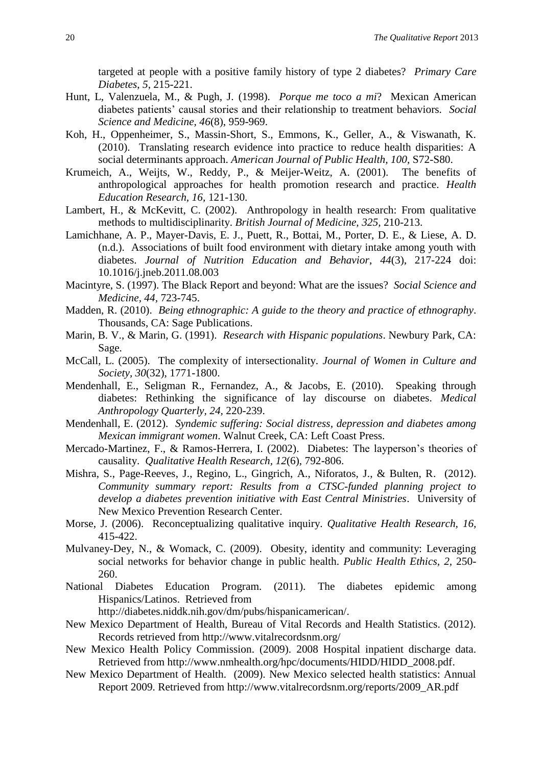targeted at people with a positive family history of type 2 diabetes? *Primary Care Diabetes*, *5*, 215-221.

- Hunt, L, Valenzuela, M., & Pugh, J. (1998). *Porque me toco a mi*? Mexican American diabetes patients' causal stories and their relationship to treatment behaviors. *Social Science and Medicine, 46*(8), 959-969.
- Koh, H., Oppenheimer, S., Massin-Short, S., Emmons, K., Geller, A., & Viswanath, K. (2010). Translating research evidence into practice to reduce health disparities: A social determinants approach. *American Journal of Public Health, 100,* S72-S80.
- Krumeich, A., Weijts, W., Reddy, P., & Meijer-Weitz, A. (2001). The benefits of anthropological approaches for health promotion research and practice. *Health Education Research, 16,* 121-130.
- Lambert, H., & McKevitt, C. (2002). Anthropology in health research: From qualitative methods to multidisciplinarity. *British Journal of Medicine, 325,* 210-213.
- Lamichhane, A. P., Mayer-Davis, E. J., Puett, R., Bottai, M., Porter, D. E., & Liese, A. D. (n.d.). Associations of built food environment with dietary intake among youth with diabetes. *Journal of Nutrition Education and Behavior*, *44*(3), 217-224 doi: 10.1016/j.jneb.2011.08.003
- Macintyre, S. (1997). The Black Report and beyond: What are the issues? *Social Science and Medicine, 44,* 723-745.
- Madden, R. (2010). *Being ethnographic: A guide to the theory and practice of ethnography*. Thousands, CA: Sage Publications.
- Marin, B. V., & Marin, G. (1991). *Research with Hispanic populations*. Newbury Park, CA: Sage.
- McCall, L. (2005). The complexity of intersectionality. *Journal of Women in Culture and Society, 30*(32), 1771-1800.
- Mendenhall, E., Seligman R., Fernandez, A., & Jacobs, E. (2010). Speaking through diabetes: Rethinking the significance of lay discourse on diabetes. *Medical Anthropology Quarterly, 24,* 220-239.
- Mendenhall, E. (2012). *Syndemic suffering: Social distress, depression and diabetes among Mexican immigrant women*. Walnut Creek, CA: Left Coast Press.
- Mercado-Martinez, F., & Ramos-Herrera, I. (2002). Diabetes: The layperson's theories of causality. *Qualitative Health Research, 12*(6), 792-806.
- Mishra, S., Page-Reeves, J., Regino, L., Gingrich, A., Niforatos, J., & Bulten, R. (2012). *Community summary report: Results from a CTSC-funded planning project to develop a diabetes prevention initiative with East Central Ministries*. University of New Mexico Prevention Research Center.
- Morse, J. (2006). Reconceptualizing qualitative inquiry. *Qualitative Health Research, 16,*  415-422.
- Mulvaney-Dey, N., & Womack, C. (2009). Obesity, identity and community: Leveraging social networks for behavior change in public health. *Public Health Ethics, 2,* 250- 260.
- National Diabetes Education Program. (2011). The diabetes epidemic among Hispanics/Latinos. Retrieved from

[http://diabetes.niddk.nih.gov/dm/pubs/hispanicamerican/.](http://diabetes.niddk.nih.gov/dm/pubs/hispanicamerican/)

- New Mexico Department of Health, Bureau of Vital Records and Health Statistics. (2012). Records retrieved from<http://www.vitalrecordsnm.org/>
- New Mexico Health Policy Commission. (2009). 2008 Hospital inpatient discharge data. Retrieved from [http://www.nmhealth.org/hpc/documents/HIDD/HIDD\\_2008.pdf.](http://www.nmhealth.org/hpc/documents/HIDD/HIDD_2008.pdf)
- New Mexico Department of Health. (2009). New Mexico selected health statistics: Annual Report 2009. Retrieved from [http://www.vitalrecordsnm.org/reports/2009\\_AR.pdf](http://www.vitalrecordsnm.org/reports/2009_AR.pdf)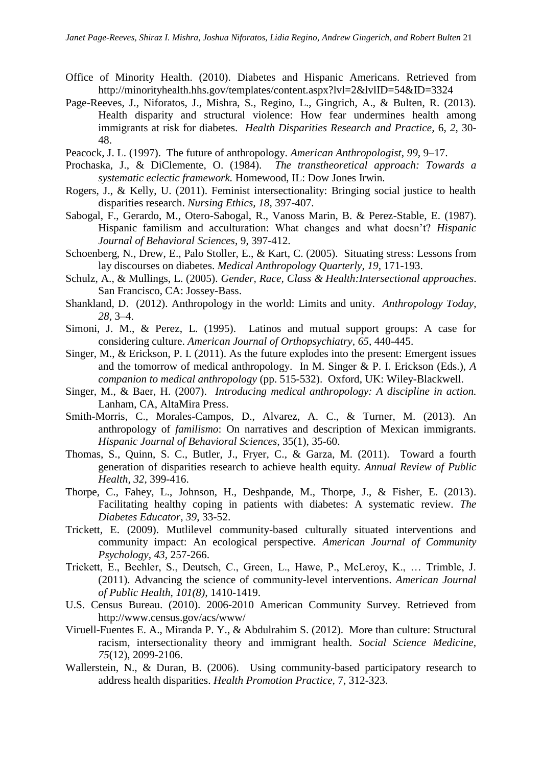- Office of Minority Health. (2010). Diabetes and Hispanic Americans. Retrieved from <http://minorityhealth.hhs.gov/templates/content.aspx?lvl=2&lvlID=54&ID=3324>
- Page-Reeves, J., Niforatos, J., Mishra, S., Regino, L., Gingrich, A., & Bulten, R. (2013). Health disparity and structural violence: How fear undermines health among immigrants at risk for diabetes. *Health Disparities Research and Practice,* 6, *2*, 30- 48.
- Peacock, J. L. (1997). The future of anthropology. *American Anthropologist*, *99,* 9–17.
- Prochaska, J., & DiClemente, O. (1984). *The transtheoretical approach: Towards a systematic eclectic framework.* Homewood, IL: Dow Jones Irwin.
- Rogers, J., & Kelly, U. (2011). Feminist intersectionality: Bringing social justice to health disparities research. *Nursing Ethics, 18,* 397-407.
- Sabogal, F., Gerardo, M., Otero-Sabogal, R., Vanoss Marin, B. & Perez-Stable, E. (1987). Hispanic familism and acculturation: What changes and what doesn't? *Hispanic Journal of Behavioral Sciences*, 9, 397-412.
- Schoenberg, N., Drew, E., Palo Stoller, E., & Kart, C. (2005). Situating stress: Lessons from lay discourses on diabetes. *Medical Anthropology Quarterly, 19,* 171-193.
- Schulz, A., & Mullings, L. (2005). *Gender, Race, Class & Health:Intersectional approaches*. San Francisco, CA: Jossey-Bass.
- Shankland, D. (2012). Anthropology in the world: Limits and unity. *Anthropology Today*, *28,* 3–4.
- Simoni, J. M., & Perez, L. (1995). Latinos and mutual support groups: A case for considering culture. *American Journal of Orthopsychiatry, 65,* 440-445.
- Singer, M., & Erickson, P. I. (2011). As the future explodes into the present: Emergent issues and the tomorrow of medical anthropology. In M. Singer & P. I. Erickson (Eds.), *A companion to medical anthropology* (pp. 515-532). Oxford, UK: Wiley-Blackwell.
- Singer, M., & Baer, H. (2007). *Introducing medical anthropology: A discipline in action.* Lanham, CA, AltaMira Press.
- Smith-Morris, C., Morales-Campos, D., Alvarez, A. C., & Turner, M. (2013). An anthropology of *familismo*: On narratives and description of Mexican immigrants. *Hispanic Journal of Behavioral Sciences,* 35(1), 35-60.
- Thomas, S., Quinn, S. C., Butler, J., Fryer, C., & Garza, M. (2011). Toward a fourth generation of disparities research to achieve health equity. *Annual Review of Public Health, 32,* 399-416.
- Thorpe, C., Fahey, L., Johnson, H., Deshpande, M., Thorpe, J., & Fisher, E. (2013). Facilitating healthy coping in patients with diabetes: A systematic review. *The Diabetes Educator*, *39*, 33-52.
- Trickett, E. (2009). Mutlilevel community-based culturally situated interventions and community impact: An ecological perspective. *American Journal of Community Psychology, 43,* 257-266.
- Trickett, E., Beehler, S., Deutsch, C., Green, L., Hawe, P., McLeroy, K., … Trimble, J. (2011). Advancing the science of community-level interventions. *American Journal of Public Health, 101(8),* 1410-1419.
- U.S. Census Bureau. (2010). 2006-2010 American Community Survey. Retrieved from <http://www.census.gov/acs/www/>
- Viruell-Fuentes E. A., Miranda P. Y., & Abdulrahim S. (2012). More than culture: Structural racism, intersectionality theory and immigrant health. *Social Science Medicine, 75*(12), 2099-2106.
- Wallerstein, N., & Duran, B. (2006). Using community-based participatory research to address health disparities. *Health Promotion Practice,* 7, 312-323.